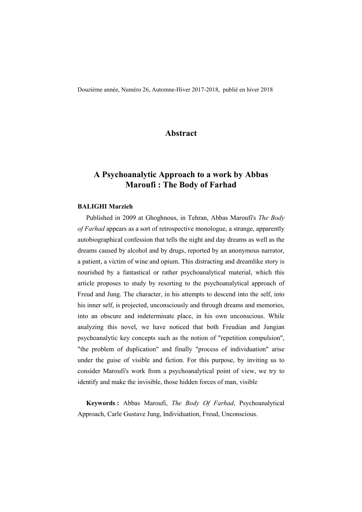Douzième année, Numéro 26, Automne-Hiver 2017-2018, publié en hiver 2018

### **Abstract**

# **A Psychoanalytic Approach to a work by Abbas Maroufi : The Body of Farhad**

#### **BALIGHI Marzieh**

Published in 2009 at Ghoghnous, in Tehran, Abbas Maroufi's *The Body of Farhad* appears as a sort of retrospective monologue, a strange, apparently autobiographical confession that tells the night and day dreams as well as the dreams caused by alcohol and by drugs, reported by an anonymous narrator, a patient, a victim of wine and opium. This distracting and dreamlike story is nourished by a fantastical or rather psychoanalytical material, which this article proposes to study by resorting to the psychoanalytical approach of Freud and Jung. The character, in his attempts to descend into the self, into his inner self, is projected, unconsciously and through dreams and memories, into an obscure and indeterminate place, in his own unconscious. While analyzing this novel, we have noticed that both Freudian and Jungian psychoanalytic key concepts such as the notion of "repetition compulsion", "the problem of duplication" and finally "process of individuation" arise under the guise of visible and fiction. For this purpose, by inviting us to consider Maroufi's work from a psychoanalytical point of view, we try to identify and make the invisible, those hidden forces of man, visible

**Keywords :** Abbas Maroufi, *The Body Of Farhad*, Psychoanalytical Approach, Carle Gustave Jung, Individuation, Freud, Unconscious.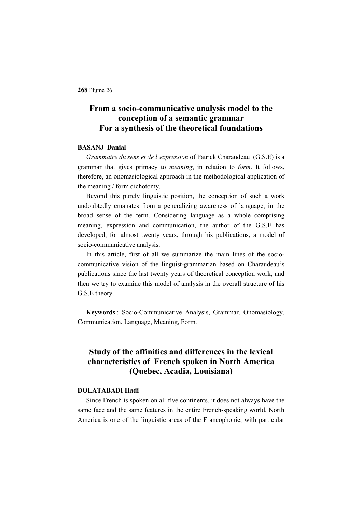# **From a socio-communicative analysis model to the conception of a semantic grammar For a synthesis of the theoretical foundations**

### **BASANJ Danial**

*Grammaire du sens et de l'expression* of Patrick Charaudeau (G.S.E) is a grammar that gives primacy to *meaning*, in relation to *form*. It follows, therefore, an onomasiological approach in the methodological application of the meaning / form dichotomy.

Beyond this purely linguistic position, the conception of such a work undoubtedly emanates from a generalizing awareness of language, in the broad sense of the term. Considering language as a whole comprising meaning, expression and communication, the author of the G.S.E has developed, for almost twenty years, through his publications, a model of socio-communicative analysis.

In this article, first of all we summarize the main lines of the sociocommunicative vision of the linguist-grammarian based on Charaudeau's publications since the last twenty years of theoretical conception work, and then we try to examine this model of analysis in the overall structure of his G.S.E theory.

**Keywords** : Socio-Communicative Analysis, Grammar, Onomasiology, Communication, Language, Meaning, Form.

# **Study of the affinities and differences in the lexical characteristics of French spoken in North America (Quebec, Acadia, Louisiana)**

#### **DOLATABADI Hadi**

Since French is spoken on all five continents, it does not always have the same face and the same features in the entire French-speaking world. North America is one of the linguistic areas of the Francophonie, with particular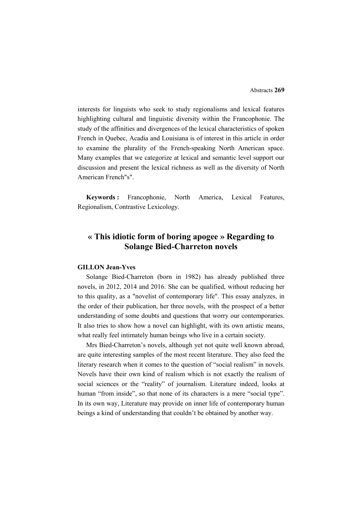interests for linguists who seek to study regionalisms and lexical features highlighting cultural and linguistic diversity within the Francophonie. The study of the affinities and divergences of the lexical characteristics of spoken French in Quebec, Acadia and Louisiana is of interest in this article in order to examine the plurality of the French-speaking North American space. Many examples that we categorize at lexical and semantic level support our discussion and present the lexical richness as well as the diversity of North American French"s".

**Keywords :** Francophonie, North America, Lexical Features, Regionalism, Contrastive Lexicology.

## **« This idiotic form of boring apogee » Regarding to Solange Bied-Charreton novels**

#### **GILLON Jean-Yves**

Solange Bied-Charreton (born in 1982) has already published three novels, in 2012, 2014 and 2016. She can be qualified, without reducing her to this quality, as a "novelist of contemporary life". This essay analyzes, in the order of their publication, her three novels, with the prospect of a better understanding of some doubts and questions that worry our contemporaries. It also tries to show how a novel can highlight, with its own artistic means, what really feel intimately human beings who live in a certain society.

Mrs Bied-Charreton's novels, although yet not quite well known abroad, are quite interesting samples of the most recent literature. They also feed the literary research when it comes to the question of "social realism" in novels. Novels have their own kind of realism which is not exactly the realism of social sciences or the "reality" of journalism. Literature indeed, looks at human "from inside", so that none of its characters is a mere "social type". In its own way, Literature may provide on inner life of contemporary human beings a kind of understanding that couldn't be obtained by another way.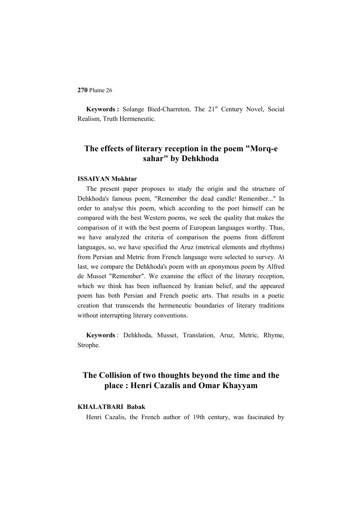**Keywords** : Solange Bied-Charreton, The 21<sup>st</sup> Century Novel, Social Realism, Truth Hermeneutic.

### **The effects of literary reception in the poem "Morq-e sahar" by Dehkhoda**

#### **ISSAIYAN Mokhtar**

The present paper proposes to study the origin and the structure of Dehkhoda's famous poem, "Remember the dead candle! Remember..." In order to analyse this poem, which according to the poet himself can be compared with the best Western poems, we seek the quality that makes the comparison of it with the best poems of European languages worthy. Thus, we have analyzed the criteria of comparison the poems from different languages, so, we have specified the Aruz (metrical elements and rhythms) from Persian and Metric from French language were selected to survey. At last, we compare the Dehkhoda's poem with an eponymous poem by Alfred de Musset "Remember". We examine the effect of the literary reception, which we think has been influenced by Iranian belief, and the appeared poem has both Persian and French poetic arts. That results in a poetic creation that transcends the hermeneutic boundaries of literary traditions without interrupting literary conventions.

**Keywords** : Dehkhoda, Musset, Translation, Aruz, Metric, Rhyme, Strophe.

# **The Collision of two thoughts beyond the time and the place : Henri Cazalis and Omar Khayyam**

### **KHALATBARI Babak**

Henri Cazalis, the French author of 19th century, was fascinated by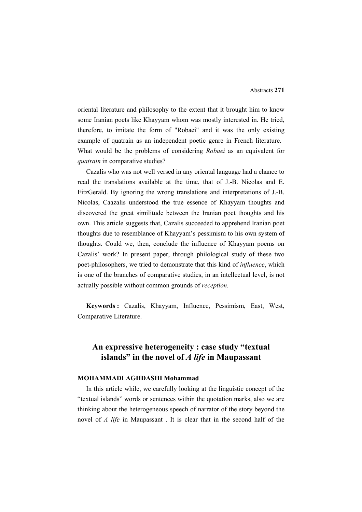oriental literature and philosophy to the extent that it brought him to know some Iranian poets like Khayyam whom was mostly interested in. He tried, therefore, to imitate the form of "Robaei" and it was the only existing example of quatrain as an independent poetic genre in French literature. What would be the problems of considering *Robaei* as an equivalent for *quatrain* in comparative studies?

Cazalis who was not well versed in any oriental language had a chance to read the translations available at the time, that of J.-B. Nicolas and E. FitzGerald. By ignoring the wrong translations and interpretations of J.-B. Nicolas, Caazalis understood the true essence of Khayyam thoughts and discovered the great similitude between the Iranian poet thoughts and his own. This article suggests that, Cazalis succeeded to apprehend Iranian poet thoughts due to resemblance of Khayyam's pessimism to his own system of thoughts. Could we, then, conclude the influence of Khayyam poems on Cazalis' work? In present paper, through philological study of these two poet-philosophers, we tried to demonstrate that this kind of *influence*, which is one of the branches of comparative studies, in an intellectual level, is not actually possible without common grounds of *reception.* 

**Keywords :** Cazalis, Khayyam, Influence, Pessimism, East, West, Comparative Literature.

# **An expressive heterogeneity : case study "textual islands" in the novel of** *A life* **in Maupassant**

#### **MOHAMMADI AGHDASHI Mohammad**

In this article while, we carefully looking at the linguistic concept of the "textual islands" words or sentences within the quotation marks, also we are thinking about the heterogeneous speech of narrator of the story beyond the novel of *A life* in Maupassant . It is clear that in the second half of the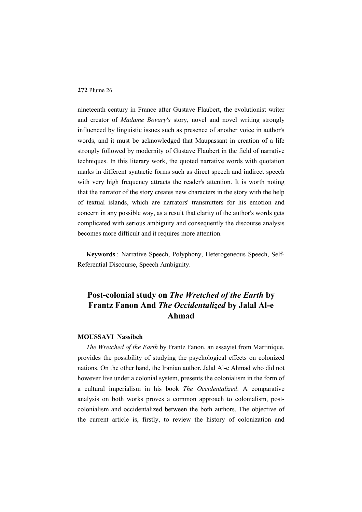nineteenth century in France after Gustave Flaubert, the evolutionist writer and creator of *Madame Bovary's* story, novel and novel writing strongly influenced by linguistic issues such as presence of another voice in author's words, and it must be acknowledged that Maupassant in creation of a life strongly followed by modernity of Gustave Flaubert in the field of narrative techniques. In this literary work, the quoted narrative words with quotation marks in different syntactic forms such as direct speech and indirect speech with very high frequency attracts the reader's attention. It is worth noting that the narrator of the story creates new characters in the story with the help of textual islands, which are narrators' transmitters for his emotion and concern in any possible way, as a result that clarity of the author's words gets complicated with serious ambiguity and consequently the discourse analysis becomes more difficult and it requires more attention.

**Keywords** : Narrative Speech, Polyphony, Heterogeneous Speech, Self-Referential Discourse, Speech Ambiguity.

# **Post-colonial study on** *The Wretched of the Earth* **by Frantz Fanon And** *The Occidentalized* **by Jalal Al-e Ahmad**

### **MOUSSAVI Nassibeh**

*The Wretched of the Earth* by Frantz Fanon, an essayist from Martinique, provides the possibility of studying the psychological effects on colonized nations. On the other hand, the Iranian author, Jalal Al-e Ahmad who did not however live under a colonial system, presents the colonialism in the form of a cultural imperialism in his book *The Occidentalized*. A comparative analysis on both works proves a common approach to colonialism, postcolonialism and occidentalized between the both authors. The objective of the current article is, firstly, to review the history of colonization and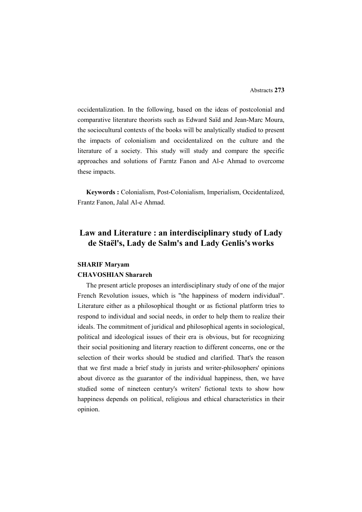occidentalization. In the following, based on the ideas of postcolonial and comparative literature theorists such as Edward Saïd and Jean-Marc Moura, the sociocultural contexts of the books will be analytically studied to present the impacts of colonialism and occidentalized on the culture and the literature of a society. This study will study and compare the specific approaches and solutions of Farntz Fanon and Al-e Ahmad to overcome these impacts.

**Keywords :** Colonialism, Post-Colonialism, Imperialism, Occidentalized, Frantz Fanon, Jalal Al-e Ahmad.

# **Law and Literature : an interdisciplinary study of Lady de Staël's, Lady de Salm's and Lady Genlis's works**

#### **SHARIF Maryam**

#### **CHAVOSHIAN Sharareh**

The present article proposes an interdisciplinary study of one of the major French Revolution issues, which is "the happiness of modern individual". Literature either as a philosophical thought or as fictional platform tries to respond to individual and social needs, in order to help them to realize their ideals. The commitment of juridical and philosophical agents in sociological, political and ideological issues of their era is obvious, but for recognizing their social positioning and literary reaction to different concerns, one or the selection of their works should be studied and clarified. That's the reason that we first made a brief study in jurists and writer-philosophers' opinions about divorce as the guarantor of the individual happiness, then, we have studied some of nineteen century's writers' fictional texts to show how happiness depends on political, religious and ethical characteristics in their opinion.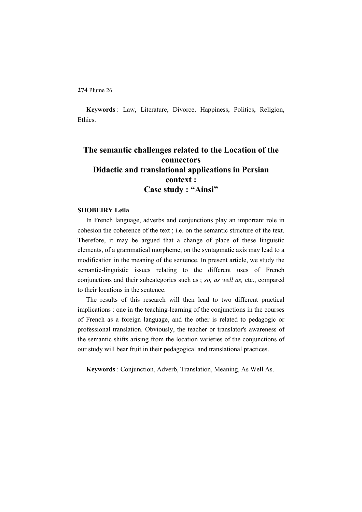**Keywords** : Law, Literature, Divorce, Happiness, Politics, Religion, Ethics.

# **The semantic challenges related to the Location of the connectors Didactic and translational applications in Persian context : Case study : "Ainsi"**

### **SHOBEIRY Leila**

In French language, adverbs and conjunctions play an important role in cohesion the coherence of the text ; i.e. on the semantic structure of the text. Therefore, it may be argued that a change of place of these linguistic elements, of a grammatical morpheme, on the syntagmatic axis may lead to a modification in the meaning of the sentence. In present article, we study the semantic-linguistic issues relating to the different uses of French conjunctions and their subcategories such as ; *so, as well as,* etc., compared to their locations in the sentence.

The results of this research will then lead to two different practical implications : one in the teaching-learning of the conjunctions in the courses of French as a foreign language, and the other is related to pedagogic or professional translation. Obviously, the teacher or translator's awareness of the semantic shifts arising from the location varieties of the conjunctions of our study will bear fruit in their pedagogical and translational practices.

**Keywords** : Conjunction, Adverb, Translation, Meaning, As Well As.